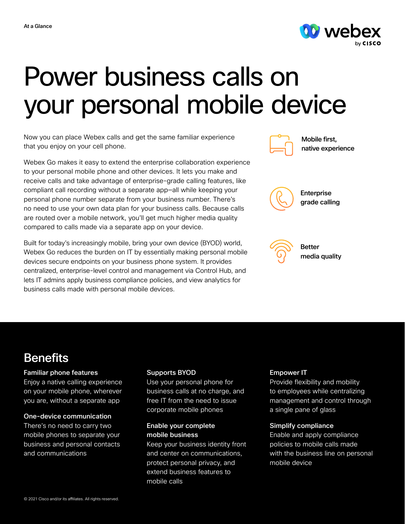

# Power business calls on your personal mobile device

Now you can place Webex calls and get the same familiar experience that you enjoy on your cell phone.

Webex Go makes it easy to extend the enterprise collaboration experience to your personal mobile phone and other devices. It lets you make and receive calls and take advantage of enterprise-grade calling features, like compliant call recording without a separate app—all while keeping your personal phone number separate from your business number. There's no need to use your own data plan for your business calls. Because calls are routed over a mobile network, you'll get much higher media quality compared to calls made via a separate app on your device.

Built for today's increasingly mobile, bring your own device (BYOD) world, Webex Go reduces the burden on IT by essentially making personal mobile devices secure endpoints on your business phone system. It provides centralized, enterprise-level control and management via Control Hub, and lets IT admins apply business compliance policies, and view analytics for business calls made with personal mobile devices.



Mobile first, native experience



Enterprise grade calling



Better media quality

# **Benefits**

#### Familiar phone features

Enjoy a native calling experience on your mobile phone, wherever you are, without a separate app

#### One-device communication

There's no need to carry two mobile phones to separate your business and personal contacts and communications

#### Supports BYOD

Use your personal phone for business calls at no charge, and free IT from the need to issue corporate mobile phones

#### Enable your complete mobile business

Keep your business identity front and center on communications, protect personal privacy, and extend business features to mobile calls

## Empower IT

Provide flexibility and mobility to employees while centralizing management and control through a single pane of glass

## Simplify compliance

Enable and apply compliance policies to mobile calls made with the business line on personal mobile device